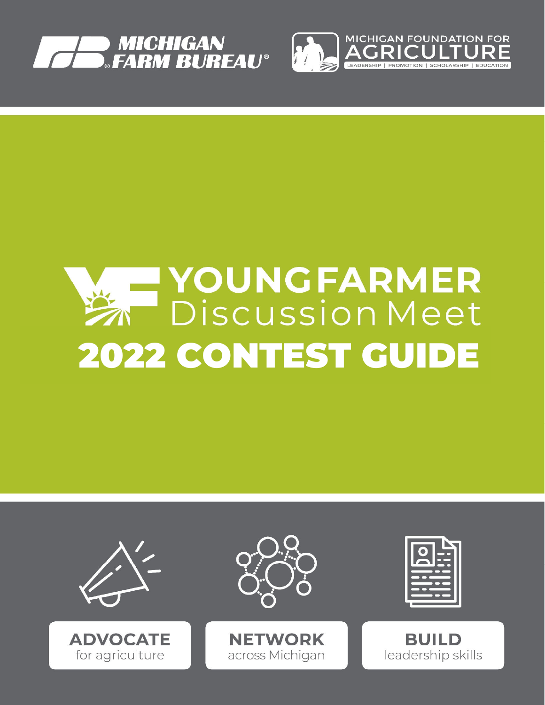



# YOUNGFARMER 2022 CONTEST GUIDE

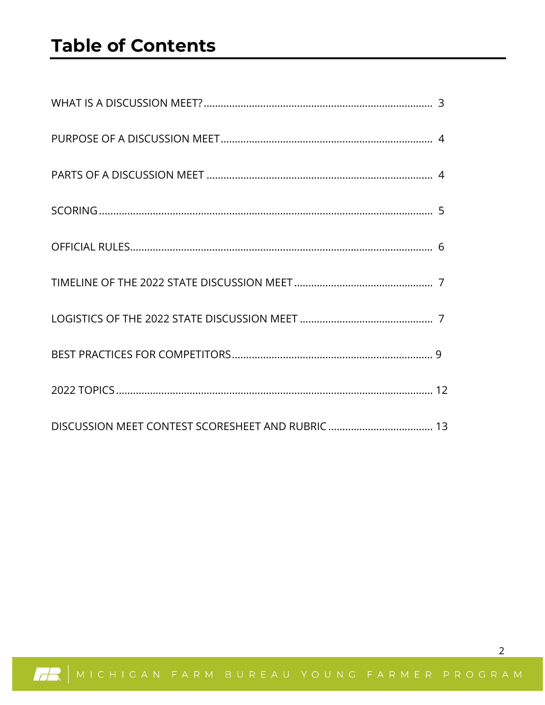## **Table of Contents**



 $\overline{2}$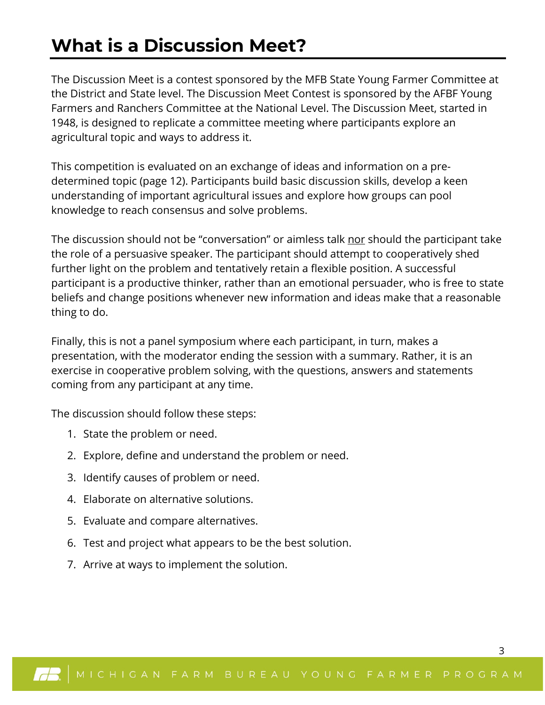## **What is a Discussion Meet?**

The Discussion Meet is a contest sponsored by the MFB State Young Farmer Committee at the District and State level. The Discussion Meet Contest is sponsored by the AFBF Young Farmers and Ranchers Committee at the National Level. The Discussion Meet, started in 1948, is designed to replicate a committee meeting where participants explore an agricultural topic and ways to address it.

This competition is evaluated on an exchange of ideas and information on a predetermined topic (page 12). Participants build basic discussion skills, develop a keen understanding of important agricultural issues and explore how groups can pool knowledge to reach consensus and solve problems.

The discussion should not be "conversation" or aimless talk nor should the participant take the role of a persuasive speaker. The participant should attempt to cooperatively shed further light on the problem and tentatively retain a flexible position. A successful participant is a productive thinker, rather than an emotional persuader, who is free to state beliefs and change positions whenever new information and ideas make that a reasonable thing to do.

Finally, this is not a panel symposium where each participant, in turn, makes a presentation, with the moderator ending the session with a summary. Rather, it is an exercise in cooperative problem solving, with the questions, answers and statements coming from any participant at any time.

The discussion should follow these steps:

- 1. State the problem or need.
- 2. Explore, define and understand the problem or need.
- 3. Identify causes of problem or need.
- 4. Elaborate on alternative solutions.
- 5. Evaluate and compare alternatives.
- 6. Test and project what appears to be the best solution.
- 7. Arrive at ways to implement the solution.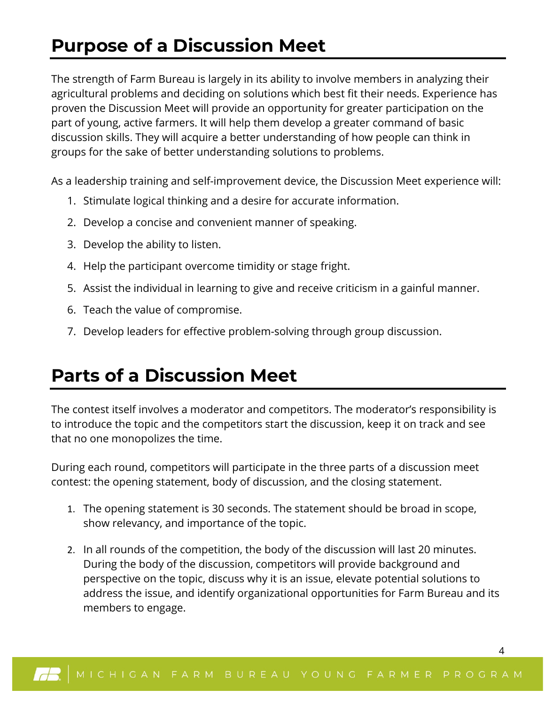## **Purpose of a Discussion Meet**

The strength of Farm Bureau is largely in its ability to involve members in analyzing their agricultural problems and deciding on solutions which best fit their needs. Experience has proven the Discussion Meet will provide an opportunity for greater participation on the part of young, active farmers. It will help them develop a greater command of basic discussion skills. They will acquire a better understanding of how people can think in groups for the sake of better understanding solutions to problems.

As a leadership training and self-improvement device, the Discussion Meet experience will:

- 1. Stimulate logical thinking and a desire for accurate information.
- 2. Develop a concise and convenient manner of speaking.
- 3. Develop the ability to listen.
- 4. Help the participant overcome timidity or stage fright.
- 5. Assist the individual in learning to give and receive criticism in a gainful manner.
- 6. Teach the value of compromise.
- 7. Develop leaders for effective problem-solving through group discussion.

## **Parts of a Discussion Meet**

The contest itself involves a moderator and competitors. The moderator's responsibility is to introduce the topic and the competitors start the discussion, keep it on track and see that no one monopolizes the time.

During each round, competitors will participate in the three parts of a discussion meet contest: the opening statement, body of discussion, and the closing statement.

- 1. The opening statement is 30 seconds. The statement should be broad in scope, show relevancy, and importance of the topic.
- 2. In all rounds of the competition, the body of the discussion will last 20 minutes. During the body of the discussion, competitors will provide background and perspective on the topic, discuss why it is an issue, elevate potential solutions to address the issue, and identify organizational opportunities for Farm Bureau and its members to engage.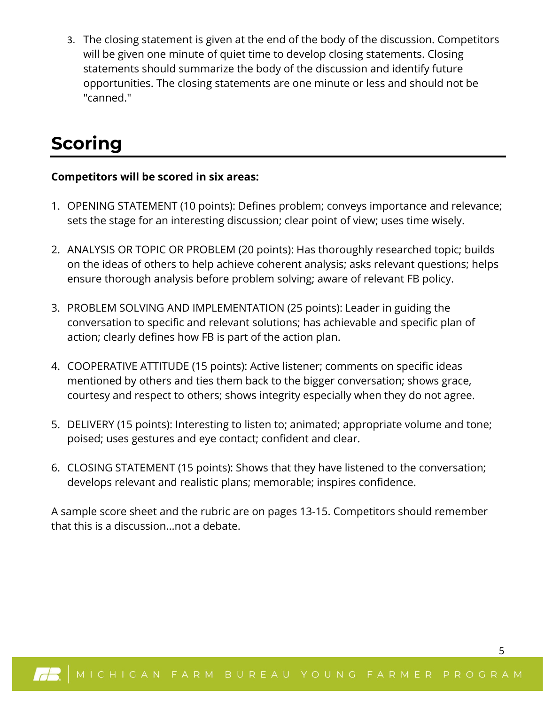3. The closing statement is given at the end of the body of the discussion. Competitors will be given one minute of quiet time to develop closing statements. Closing statements should summarize the body of the discussion and identify future opportunities. The closing statements are one minute or less and should not be "canned."

# **Scoring**

#### **Competitors will be scored in six areas:**

- 1. OPENING STATEMENT (10 points): Defines problem; conveys importance and relevance; sets the stage for an interesting discussion; clear point of view; uses time wisely.
- 2. ANALYSIS OR TOPIC OR PROBLEM (20 points): Has thoroughly researched topic; builds on the ideas of others to help achieve coherent analysis; asks relevant questions; helps ensure thorough analysis before problem solving; aware of relevant FB policy.
- 3. PROBLEM SOLVING AND IMPLEMENTATION (25 points): Leader in guiding the conversation to specific and relevant solutions; has achievable and specific plan of action; clearly defines how FB is part of the action plan.
- 4. COOPERATIVE ATTITUDE (15 points): Active listener; comments on specific ideas mentioned by others and ties them back to the bigger conversation; shows grace, courtesy and respect to others; shows integrity especially when they do not agree.
- 5. DELIVERY (15 points): Interesting to listen to; animated; appropriate volume and tone; poised; uses gestures and eye contact; confident and clear.
- 6. CLOSING STATEMENT (15 points): Shows that they have listened to the conversation; develops relevant and realistic plans; memorable; inspires confidence.

A sample score sheet and the rubric are on pages 13-15. Competitors should remember that this is a discussion...not a debate.

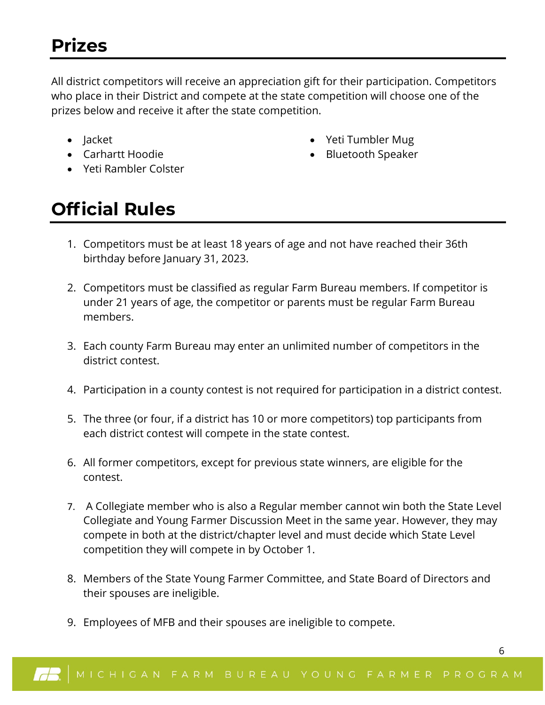All district competitors will receive an appreciation gift for their participation. Competitors who place in their District and compete at the state competition will choose one of the prizes below and receive it after the state competition.

- Jacket
- Carhartt Hoodie
- Yeti Rambler Colster
- Yeti Tumbler Mug
- Bluetooth Speaker

## **Official Rules**

- 1. Competitors must be at least 18 years of age and not have reached their 36th birthday before January 31, 2023.
- 2. Competitors must be classified as regular Farm Bureau members. If competitor is under 21 years of age, the competitor or parents must be regular Farm Bureau members.
- 3. Each county Farm Bureau may enter an unlimited number of competitors in the district contest.
- 4. Participation in a county contest is not required for participation in a district contest.
- 5. The three (or four, if a district has 10 or more competitors) top participants from each district contest will compete in the state contest.
- 6. All former competitors, except for previous state winners, are eligible for the contest.
- 7. A Collegiate member who is also a Regular member cannot win both the State Level Collegiate and Young Farmer Discussion Meet in the same year. However, they may compete in both at the district/chapter level and must decide which State Level competition they will compete in by October 1.
- 8. Members of the State Young Farmer Committee, and State Board of Directors and their spouses are ineligible.
- 9. Employees of MFB and their spouses are ineligible to compete.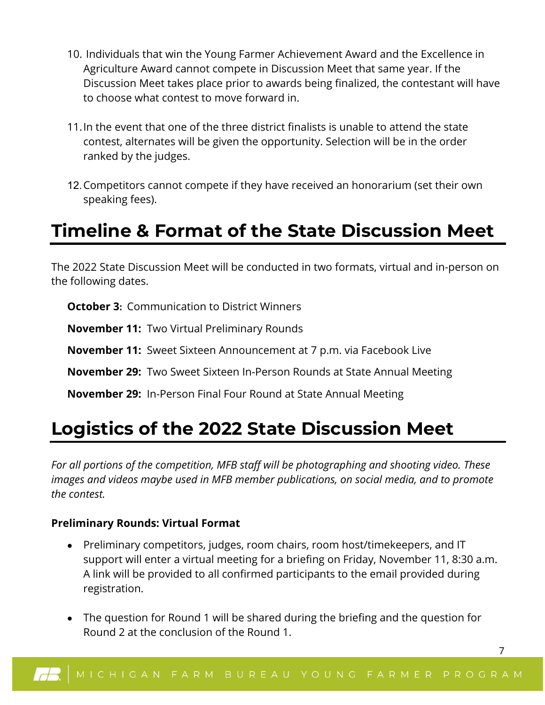- 10. Individuals that win the Young Farmer Achievement Award and the Excellence in Agriculture Award cannot compete in Discussion Meet that same year. If the Discussion Meet takes place prior to awards being finalized, the contestant will have to choose what contest to move forward in.
- 11.In the event that one of the three district finalists is unable to attend the state contest, alternates will be given the opportunity. Selection will be in the order ranked by the judges.
- 12. Competitors cannot compete if they have received an honorarium (set their own speaking fees).

# **Timeline & Format of the State Discussion Meet**

The 2022 State Discussion Meet will be conducted in two formats, virtual and in-person on the following dates.

**October 3:** Communication to District Winners

**November 11:** Two Virtual Preliminary Rounds

**November 11:** Sweet Sixteen Announcement at 7 p.m. via Facebook Live

**November 29:** Two Sweet Sixteen In-Person Rounds at State Annual Meeting

**November 29:** In-Person Final Four Round at State Annual Meeting

## **Logistics of the 2022 State Discussion Meet**

*For all portions of the competition, MFB staff will be photographing and shooting video. These images and videos maybe used in MFB member publications, on social media, and to promote the contest.* 

#### **Preliminary Rounds: Virtual Format**

- Preliminary competitors, judges, room chairs, room host/timekeepers, and IT support will enter a virtual meeting for a briefing on Friday, November 11, 8:30 a.m. A link will be provided to all confirmed participants to the email provided during registration.
- The question for Round 1 will be shared during the briefing and the question for Round 2 at the conclusion of the Round 1.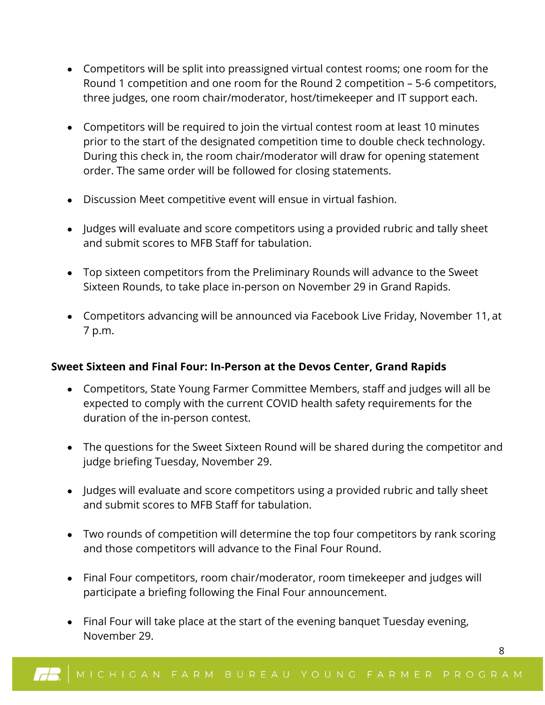- Competitors will be split into preassigned virtual contest rooms; one room for the Round 1 competition and one room for the Round 2 competition – 5-6 competitors, three judges, one room chair/moderator, host/timekeeper and IT support each.
- Competitors will be required to join the virtual contest room at least 10 minutes prior to the start of the designated competition time to double check technology. During this check in, the room chair/moderator will draw for opening statement order. The same order will be followed for closing statements.
- Discussion Meet competitive event will ensue in virtual fashion.
- Judges will evaluate and score competitors using a provided rubric and tally sheet and submit scores to MFB Staff for tabulation.
- Top sixteen competitors from the Preliminary Rounds will advance to the Sweet Sixteen Rounds, to take place in-person on November 29 in Grand Rapids.
- Competitors advancing will be announced via Facebook Live Friday, November 11, at 7 p.m.

#### **Sweet Sixteen and Final Four: In-Person at the Devos Center, Grand Rapids**

- Competitors, State Young Farmer Committee Members, staff and judges will all be expected to comply with the current COVID health safety requirements for the duration of the in-person contest.
- The questions for the Sweet Sixteen Round will be shared during the competitor and judge briefing Tuesday, November 29.
- Judges will evaluate and score competitors using a provided rubric and tally sheet and submit scores to MFB Staff for tabulation.
- Two rounds of competition will determine the top four competitors by rank scoring and those competitors will advance to the Final Four Round.
- Final Four competitors, room chair/moderator, room timekeeper and judges will participate a briefing following the Final Four announcement.
- Final Four will take place at the start of the evening banquet Tuesday evening, November 29.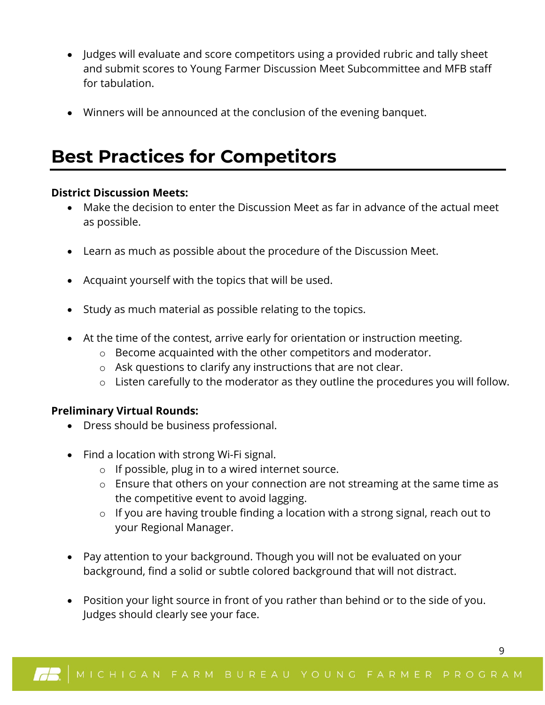- Judges will evaluate and score competitors using a provided rubric and tally sheet and submit scores to Young Farmer Discussion Meet Subcommittee and MFB staff for tabulation.
- Winners will be announced at the conclusion of the evening banquet.

## **Best Practices for Competitors**

#### **District Discussion Meets:**

- Make the decision to enter the Discussion Meet as far in advance of the actual meet as possible.
- Learn as much as possible about the procedure of the Discussion Meet.
- Acquaint yourself with the topics that will be used.
- Study as much material as possible relating to the topics.
- At the time of the contest, arrive early for orientation or instruction meeting.
	- o Become acquainted with the other competitors and moderator.
	- o Ask questions to clarify any instructions that are not clear.
	- o Listen carefully to the moderator as they outline the procedures you will follow.

#### **Preliminary Virtual Rounds:**

- Dress should be business professional.
- Find a location with strong Wi-Fi signal.
	- o If possible, plug in to a wired internet source.
	- o Ensure that others on your connection are not streaming at the same time as the competitive event to avoid lagging.
	- o If you are having trouble finding a location with a strong signal, reach out to your Regional Manager.

- Pay attention to your background. Though you will not be evaluated on your background, find a solid or subtle colored background that will not distract.
- Position your light source in front of you rather than behind or to the side of you. Judges should clearly see your face.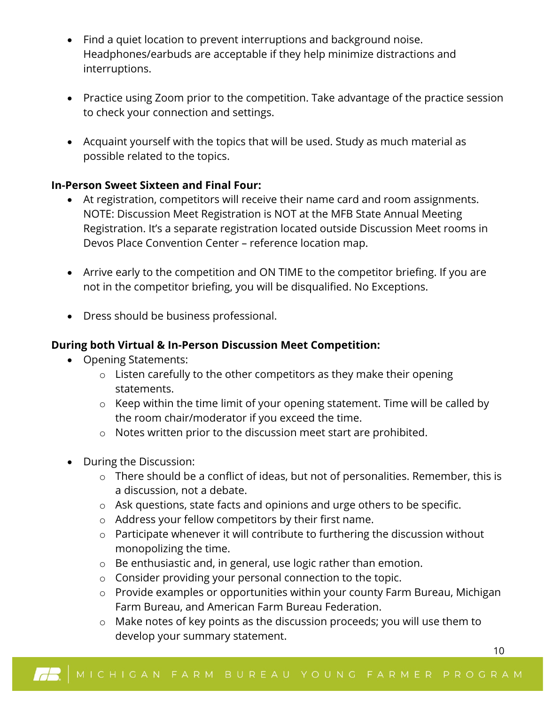- Find a quiet location to prevent interruptions and background noise. Headphones/earbuds are acceptable if they help minimize distractions and interruptions.
- Practice using Zoom prior to the competition. Take advantage of the practice session to check your connection and settings.
- Acquaint yourself with the topics that will be used. Study as much material as possible related to the topics.

#### **In-Person Sweet Sixteen and Final Four:**

- At registration, competitors will receive their name card and room assignments. NOTE: Discussion Meet Registration is NOT at the MFB State Annual Meeting Registration. It's a separate registration located outside Discussion Meet rooms in Devos Place Convention Center – reference location map.
- Arrive early to the competition and ON TIME to the competitor briefing. If you are not in the competitor briefing, you will be disqualified. No Exceptions.
- Dress should be business professional.

#### **During both Virtual & In-Person Discussion Meet Competition:**

- Opening Statements:
	- o Listen carefully to the other competitors as they make their opening statements.
	- o Keep within the time limit of your opening statement. Time will be called by the room chair/moderator if you exceed the time.
	- o Notes written prior to the discussion meet start are prohibited.
- During the Discussion:
	- o There should be a conflict of ideas, but not of personalities. Remember, this is a discussion, not a debate.
	- o Ask questions, state facts and opinions and urge others to be specific.
	- o Address your fellow competitors by their first name.
	- o Participate whenever it will contribute to furthering the discussion without monopolizing the time.
	- o Be enthusiastic and, in general, use logic rather than emotion.
	- o Consider providing your personal connection to the topic.
	- o Provide examples or opportunities within your county Farm Bureau, Michigan Farm Bureau, and American Farm Bureau Federation.
	- o Make notes of key points as the discussion proceeds; you will use them to develop your summary statement.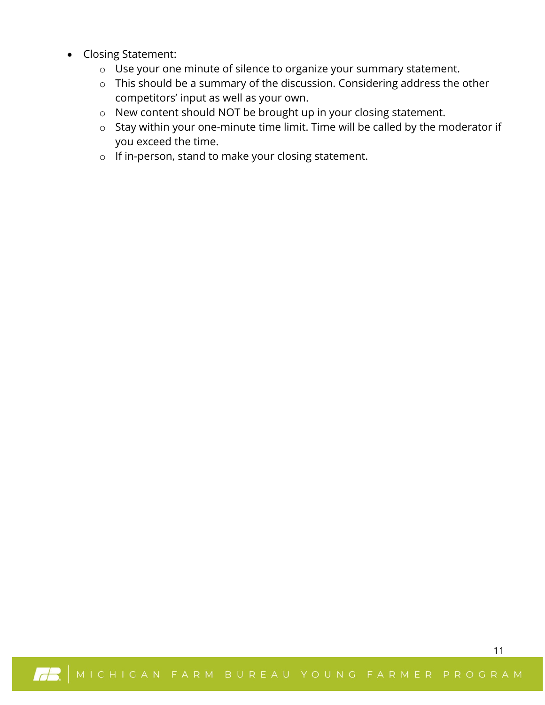- Closing Statement:
	- o Use your one minute of silence to organize your summary statement.
	- o This should be a summary of the discussion. Considering address the other competitors' input as well as your own.
	- o New content should NOT be brought up in your closing statement.
	- o Stay within your one-minute time limit. Time will be called by the moderator if you exceed the time.
	- o If in-person, stand to make your closing statement.

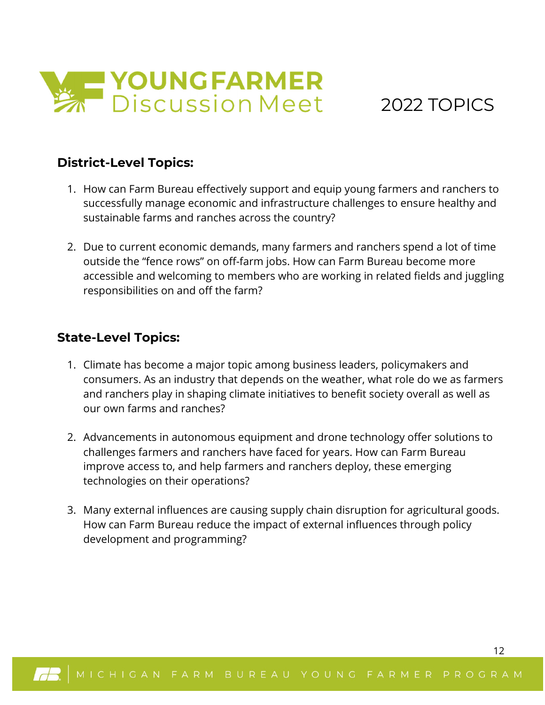

### 2022 TOPICS

12

#### **District-Level Topics:**

- 1. How can Farm Bureau effectively support and equip young farmers and ranchers to successfully manage economic and infrastructure challenges to ensure healthy and sustainable farms and ranches across the country?
- 2. Due to current economic demands, many farmers and ranchers spend a lot of time outside the "fence rows" on off-farm jobs. How can Farm Bureau become more accessible and welcoming to members who are working in related fields and juggling responsibilities on and off the farm?

#### **State-Level Topics:**

- 1. Climate has become a major topic among business leaders, policymakers and consumers. As an industry that depends on the weather, what role do we as farmers and ranchers play in shaping climate initiatives to benefit society overall as well as our own farms and ranches?
- 2. Advancements in autonomous equipment and drone technology offer solutions to challenges farmers and ranchers have faced for years. How can Farm Bureau improve access to, and help farmers and ranchers deploy, these emerging technologies on their operations?
- 3. Many external influences are causing supply chain disruption for agricultural goods. How can Farm Bureau reduce the impact of external influences through policy development and programming?

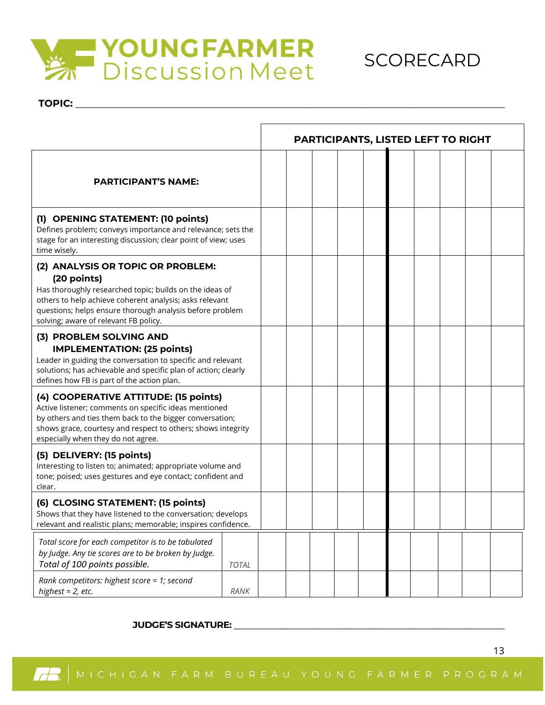

TOPIC:



|                                                                                                                                                                                                                                                                             | <b>PARTICIPANTS, LISTED LEFT TO RIGHT</b> |  |  |  |  |
|-----------------------------------------------------------------------------------------------------------------------------------------------------------------------------------------------------------------------------------------------------------------------------|-------------------------------------------|--|--|--|--|
| <b>PARTICIPANT'S NAME:</b>                                                                                                                                                                                                                                                  |                                           |  |  |  |  |
| (1) OPENING STATEMENT: (10 points)<br>Defines problem; conveys importance and relevance; sets the<br>stage for an interesting discussion; clear point of view; uses<br>time wisely.                                                                                         |                                           |  |  |  |  |
| (2) ANALYSIS OR TOPIC OR PROBLEM:<br>(20 points)<br>Has thoroughly researched topic; builds on the ideas of<br>others to help achieve coherent analysis; asks relevant<br>questions; helps ensure thorough analysis before problem<br>solving; aware of relevant FB policy. |                                           |  |  |  |  |
| (3) PROBLEM SOLVING AND<br><b>IMPLEMENTATION: (25 points)</b><br>Leader in guiding the conversation to specific and relevant<br>solutions; has achievable and specific plan of action; clearly<br>defines how FB is part of the action plan.                                |                                           |  |  |  |  |
| (4) COOPERATIVE ATTITUDE: (15 points)<br>Active listener; comments on specific ideas mentioned<br>by others and ties them back to the bigger conversation;<br>shows grace, courtesy and respect to others; shows integrity<br>especially when they do not agree.            |                                           |  |  |  |  |
| (5) DELIVERY: (15 points)<br>Interesting to listen to; animated; appropriate volume and<br>tone; poised; uses gestures and eye contact; confident and<br>clear.                                                                                                             |                                           |  |  |  |  |
| (6) CLOSING STATEMENT: (15 points)<br>Shows that they have listened to the conversation: develops<br>relevant and realistic plans; memorable; inspires confidence.                                                                                                          |                                           |  |  |  |  |
| Total score for each competitor is to be tabulated<br>by Judge. Any tie scores are to be broken by Judge.<br>Total of 100 points possible.<br><b>TOTAL</b>                                                                                                                  |                                           |  |  |  |  |
| Rank competitors: highest score = 1; second<br>highest = $2$ , etc.<br>RANK                                                                                                                                                                                                 |                                           |  |  |  |  |

#### **JUDGE'S SIGNATURE: \_\_\_\_\_\_\_\_\_\_\_\_\_\_\_\_\_\_\_\_\_\_\_\_\_\_\_\_\_\_\_\_\_\_\_\_\_\_\_\_\_\_\_\_\_\_\_\_\_\_\_\_\_\_\_\_\_\_\_\_\_\_\_\_\_\_\_\_\_\_\_\_\_\_\_\_**

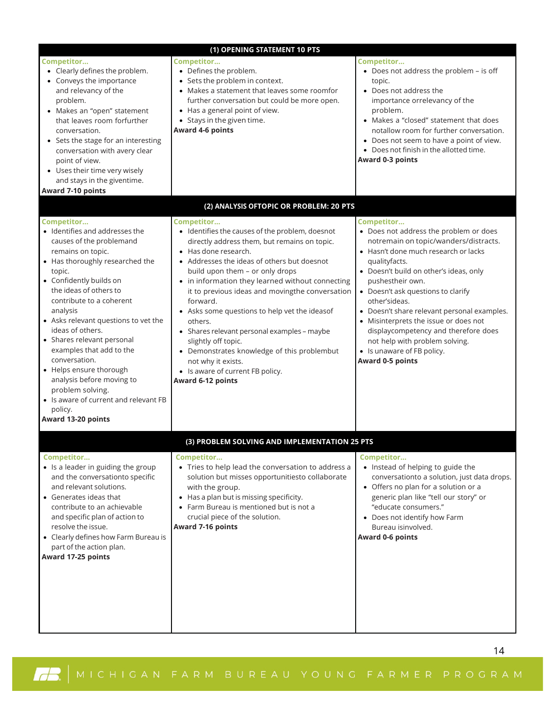|                                                                                                                                                                                                                                                                                                                                                                                                                                                                                                                                      | (1) OPENING STATEMENT 10 PTS                                                                                                                                                                                                                                                                                                                                                                                                                                                                                                                                                                               |                                                                                                                                                                                                                                                                                                                                                                                                                                                                                                 |
|--------------------------------------------------------------------------------------------------------------------------------------------------------------------------------------------------------------------------------------------------------------------------------------------------------------------------------------------------------------------------------------------------------------------------------------------------------------------------------------------------------------------------------------|------------------------------------------------------------------------------------------------------------------------------------------------------------------------------------------------------------------------------------------------------------------------------------------------------------------------------------------------------------------------------------------------------------------------------------------------------------------------------------------------------------------------------------------------------------------------------------------------------------|-------------------------------------------------------------------------------------------------------------------------------------------------------------------------------------------------------------------------------------------------------------------------------------------------------------------------------------------------------------------------------------------------------------------------------------------------------------------------------------------------|
| Competitor<br>• Clearly defines the problem.<br>• Conveys the importance<br>and relevancy of the<br>problem.<br>• Makes an "open" statement<br>that leaves room forfurther<br>conversation.<br>• Sets the stage for an interesting<br>conversation with avery clear<br>point of view.<br>• Uses their time very wisely<br>and stays in the giventime.<br>Award 7-10 points                                                                                                                                                           | Competitor<br>• Defines the problem.<br>• Sets the problem in context.<br>• Makes a statement that leaves some roomfor<br>further conversation but could be more open.<br>• Has a general point of view.<br>• Stays in the given time.<br>Award 4-6 points                                                                                                                                                                                                                                                                                                                                                 | Competitor<br>• Does not address the problem - is off<br>topic.<br>• Does not address the<br>importance orrelevancy of the<br>problem.<br>• Makes a "closed" statement that does<br>notallow room for further conversation.<br>• Does not seem to have a point of view.<br>• Does not finish in the allotted time.<br>Award 0-3 points                                                                                                                                                          |
|                                                                                                                                                                                                                                                                                                                                                                                                                                                                                                                                      | (2) ANALYSIS OFTOPIC OR PROBLEM: 20 PTS                                                                                                                                                                                                                                                                                                                                                                                                                                                                                                                                                                    |                                                                                                                                                                                                                                                                                                                                                                                                                                                                                                 |
| Competitor<br>• Identifies and addresses the<br>causes of the problemand<br>remains on topic.<br>• Has thoroughly researched the<br>topic.<br>• Confidently builds on<br>the ideas of others to<br>contribute to a coherent<br>analysis<br>• Asks relevant questions to vet the<br>ideas of others.<br>• Shares relevant personal<br>examples that add to the<br>conversation.<br>• Helps ensure thorough<br>analysis before moving to<br>problem solving.<br>• Is aware of current and relevant FB<br>policy.<br>Award 13-20 points | Competitor<br>• Identifies the causes of the problem, doesnot<br>directly address them, but remains on topic.<br>• Has done research.<br>• Addresses the ideas of others but doesnot<br>build upon them - or only drops<br>• in information they learned without connecting<br>it to previous ideas and movingthe conversation<br>forward.<br>• Asks some questions to help vet the ideasof<br>others.<br>• Shares relevant personal examples - maybe<br>slightly off topic.<br>• Demonstrates knowledge of this problembut<br>not why it exists.<br>• Is aware of current FB policy.<br>Award 6-12 points | Competitor<br>• Does not address the problem or does<br>notremain on topic/wanders/distracts.<br>• Hasn't done much research or lacks<br>qualityfacts.<br>• Doesn't build on other's ideas, only<br>pushestheir own.<br>• Doesn't ask questions to clarify<br>other'sideas.<br>• Doesn't share relevant personal examples.<br>• Misinterprets the issue or does not<br>displaycompetency and therefore does<br>not help with problem solving.<br>• Is unaware of FB policy.<br>Award 0-5 points |
|                                                                                                                                                                                                                                                                                                                                                                                                                                                                                                                                      | (3) PROBLEM SOLVING AND IMPLEMENTATION 25 PTS                                                                                                                                                                                                                                                                                                                                                                                                                                                                                                                                                              |                                                                                                                                                                                                                                                                                                                                                                                                                                                                                                 |
| Competitor<br>• Is a leader in guiding the group<br>and the conversationto specific<br>and relevant solutions.<br>• Generates ideas that<br>contribute to an achievable<br>and specific plan of action to<br>resolve the issue.<br>• Clearly defines how Farm Bureau is<br>part of the action plan.<br>Award 17-25 points                                                                                                                                                                                                            | Competitor<br>• Tries to help lead the conversation to address a<br>solution but misses opportunitiesto collaborate<br>with the group.<br>• Has a plan but is missing specificity.<br>• Farm Bureau is mentioned but is not a<br>crucial piece of the solution.<br>Award 7-16 points                                                                                                                                                                                                                                                                                                                       | Competitor<br>• Instead of helping to guide the<br>conversationto a solution, just data drops.<br>• Offers no plan for a solution or a<br>generic plan like "tell our story" or<br>"educate consumers."<br>• Does not identify how Farm<br>Bureau isinvolved.<br>Award 0-6 points                                                                                                                                                                                                               |